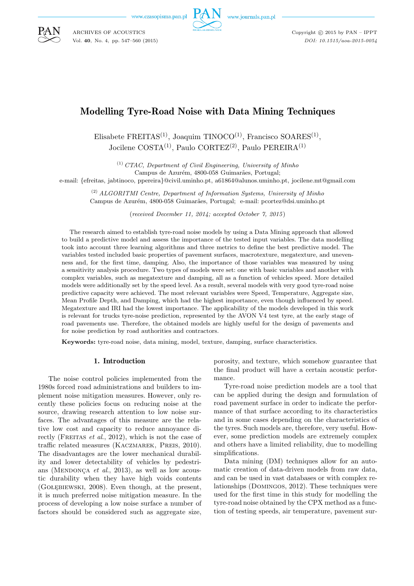www.czasopisma.pan.pl



www.journals.pan.pl

Copyright  $\odot$  2015 by PAN - IPPT *DOI: 10.1515/aoa-2015-0054*

# Modelling Tyre-Road Noise with Data Mining Techniques

Elisabete FREITAS<sup>(1)</sup>, Joaquim TINOCO<sup>(1)</sup>, Francisco SOARES<sup>(1)</sup>, Jocilene COSTA(1), Paulo CORTEZ(2), Paulo PEREIRA(1)

(1) *CTAC, Department of Civil Engineering, University of Minho*

Campus de Azurém, 4800-058 Guimarães, Portugal;

e-mail: {efreitas, jabtinoco, ppereira}@civil.uminho.pt, a61864@alunos.uminho.pt, jocilene.mt@gmail.com

(2) *ALGORITMI Centre, Department of Information Systems, University of Minho* Campus de Azurém, 4800-058 Guimarães, Portugal; e-mail: pcortez@dsi.uminho.pt

(*received December 11, 2014; accepted October 7, 2015*)

The research aimed to establish tyre-road noise models by using a Data Mining approach that allowed to build a predictive model and assess the importance of the tested input variables. The data modelling took into account three learning algorithms and three metrics to define the best predictive model. The variables tested included basic properties of pavement surfaces, macrotexture, megatexture, and unevenness and, for the first time, damping. Also, the importance of those variables was measured by using a sensitivity analysis procedure. Two types of models were set: one with basic variables and another with complex variables, such as megatexture and damping, all as a function of vehicles speed. More detailed models were additionally set by the speed level. As a result, several models with very good tyre-road noise predictive capacity were achieved. The most relevant variables were Speed, Temperature, Aggregate size, Mean Profile Depth, and Damping, which had the highest importance, even though influenced by speed. Megatexture and IRI had the lowest importance. The applicability of the models developed in this work is relevant for trucks tyre-noise prediction, represented by the AVON V4 test tyre, at the early stage of road pavements use. Therefore, the obtained models are highly useful for the design of pavements and for noise prediction by road authorities and contractors.

**Keywords:** tyre-road noise, data mining, model, texture, damping, surface characteristics.

## 1. Introduction

The noise control policies implemented from the 1980s forced road administrations and builders to implement noise mitigation measures. However, only recently these policies focus on reducing noise at the source, drawing research attention to low noise surfaces. The advantages of this measure are the relative low cost and capacity to reduce annoyance directly (FREITAS *et al.*, 2012), which is not the case of traffic related measures (KACZMAREK, PREIS, 2010). The disadvantages are the lower mechanical durability and lower detectability of vehicles by pedestrians (MENDONCA *et al.*, 2013), as well as low acoustic durability when they have high voids contents (Gołębiewski, 2008). Even though, at the present, it is much preferred noise mitigation measure. In the process of developing a low noise surface a number of factors should be considered such as aggregate size,

porosity, and texture, which somehow guarantee that the final product will have a certain acoustic performance.

Tyre-road noise prediction models are a tool that can be applied during the design and formulation of road pavement surface in order to indicate the performance of that surface according to its characteristics and in some cases depending on the characteristics of the tyres. Such models are, therefore, very useful. However, some prediction models are extremely complex and others have a limited reliability, due to modelling simplifications.

Data mining (DM) techniques allow for an automatic creation of data-driven models from raw data, and can be used in vast databases or with complex relationships (Domingos, 2012). These techniques were used for the first time in this study for modelling the tyre-road noise obtained by the CPX method as a function of testing speeds, air temperature, pavement sur-



ARCHIVES OF ACOUSTICS Vol. **40**, No. 4, pp. 547–560 (2015)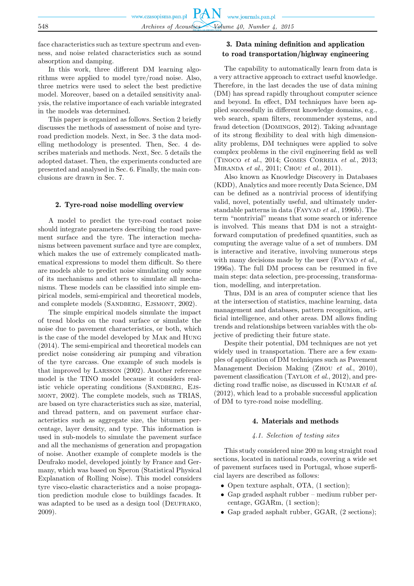face characteristics such as texture spectrum and evenness, and noise related characteristics such as sound absorption and damping.

In this work, three different DM learning algorithms were applied to model tyre/road noise. Also, three metrics were used to select the best predictive model. Moreover, based on a detailed sensitivity analysis, the relative importance of each variable integrated in the models was determined.

This paper is organized as follows. Section 2 briefly discusses the methods of assessment of noise and tyreroad prediction models. Next, in Sec. 3 the data modelling methodology is presented. Then, Sec. 4 describes materials and methods. Next, Sec. 5 details the adopted dataset. Then, the experiments conducted are presented and analysed in Sec. 6. Finally, the main conclusions are drawn in Sec. 7.

#### 2. Tyre-road noise modelling overview

A model to predict the tyre-road contact noise should integrate parameters describing the road pavement surface and the tyre. The interaction mechanisms between pavement surface and tyre are complex, which makes the use of extremely complicated mathematical expressions to model them difficult. So there are models able to predict noise simulating only some of its mechanisms and others to simulate all mechanisms. These models can be classified into simple empirical models, semi-empirical and theoretical models, and complete models (SANDBERG, EJSMONT, 2002).

The simple empirical models simulate the impact of tread blocks on the road surface or simulate the noise due to pavement characteristics, or both, which is the case of the model developed by Mak and Hung (2014). The semi-empirical and theoretical models can predict noise considering air pumping and vibration of the tyre carcass. One example of such models is that improved by Larsson (2002). Another reference model is the TINO model because it considers realistic vehicle operating conditions (SANDBERG, EJSmont, 2002). The complete models, such as TRIAS, are based on tyre characteristics such as size, material, and thread pattern, and on pavement surface characteristics such as aggregate size, the bitumen percentage, layer density, and type. This information is used in sub-models to simulate the pavement surface and all the mechanisms of generation and propagation of noise. Another example of complete models is the Deufrako model, developed jointly by France and Germany, which was based on Speron (Statistical Physical Explanation of Rolling Noise). This model considers tyre visco-elastic characteristics and a noise propagation prediction module close to buildings facades. It was adapted to be used as a design tool (DEUFRAKO, 2009).

## 3. Data mining definition and application to road transportation/highway engineering

The capability to automatically learn from data is a very attractive approach to extract useful knowledge. Therefore, in the last decades the use of data mining (DM) has spread rapidly throughout computer science and beyond. In effect, DM techniques have been applied successfully in different knowledge domains, e.g., web search, spam filters, recommender systems, and fraud detection (Domingos, 2012). Taking advantage of its strong flexibility to deal with high dimensionality problems, DM techniques were applied to solve complex problems in the civil engineering field as well (Tinoco *et al.*, 2014; Gomes Correia *et al*., 2013; Miranda *et al*., 2011; Chou *et al.*, 2011).

Also known as Knowledge Discovery in Databases (KDD), Analytics and more recently Data Science, DM can be defined as a nontrivial process of identifying valid, novel, potentially useful, and ultimately understandable patterns in data (FAYYAD *et al.*, 1996b). The term "nontrivial" means that some search or inference is involved. This means that DM is not a straightforward computation of predefined quantities, such as computing the average value of a set of numbers. DM is interactive and iterative, involving numerous steps with many decisions made by the user (FAYYAD *et al.*, 1996a). The full DM process can be resumed in five main steps: data selection, pre-processing, transformation, modelling, and interpretation.

Thus, DM is an area of computer science that lies at the intersection of statistics, machine learning, data management and databases, pattern recognition, artificial intelligence, and other areas. DM allows finding trends and relationships between variables with the objective of predicting their future state.

Despite their potential, DM techniques are not yet widely used in transportation. There are a few examples of application of DM techniques such as Pavement Management Decision Making (Zhou *et al*., 2010), pavement classification (Taylor *et al*., 2012), and predicting road traffic noise, as discussed in KUMAR *et al.* (2012), which lead to a probable successful application of DM to tyre-road noise modelling.

#### 4. Materials and methods

#### *4.1. Selection of testing sites*

This study considered nine 200 m long straight road sections, located in national roads, covering a wide set of pavement surfaces used in Portugal, whose superficial layers are described as follows:

- Open texture asphalt, OTA, (1 section);
- Gap graded asphalt rubber medium rubber percentage, GGARm, (1 section);
- Gap graded asphalt rubber, GGAR,  $(2 \text{ sections})$ :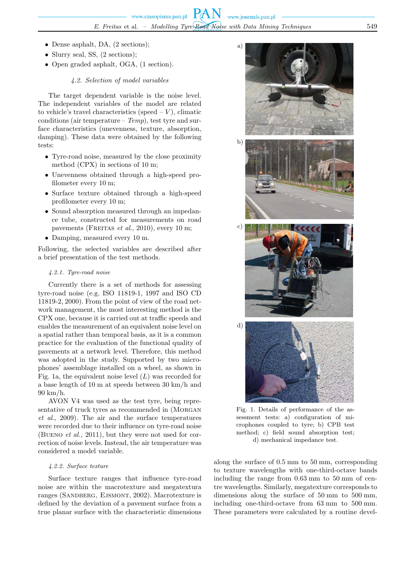a)

b)

- Dense asphalt, DA,  $(2 \text{ sections})$ ;
- Slurry seal, SS,  $(2 \text{ sections})$ ;
- Open graded asphalt, OGA, (1 section).

## *4.2. Selection of model variables*

The target dependent variable is the noise level. The independent variables of the model are related to vehicle's travel characteristics (speed  $-V$ ), climatic conditions (air temperature – *Temp*), test tyre and surface characteristics (unevenness, texture, absorption, damping). These data were obtained by the following tests:

- Tyre-road noise, measured by the close proximity method (CPX) in sections of 10 m;
- Unevenness obtained through a high-speed profilometer every 10 m;
- Surface texture obtained through a high-speed profilometer every 10 m;
- Sound absorption measured through an impedance tube, constructed for measurements on road pavements (FREITAS *et al.*, 2010), every 10 m;
- Damping, measured every 10 m.

Following, the selected variables are described after a brief presentation of the test methods.

## *4.2.1. Tyre-road noise*

Currently there is a set of methods for assessing tyre-road noise (e.g. ISO 11819-1, 1997 and ISO CD 11819-2, 2000). From the point of view of the road network management, the most interesting method is the CPX one, because it is carried out at traffic speeds and enables the measurement of an equivalent noise level on a spatial rather than temporal basis, as it is a common practice for the evaluation of the functional quality of pavements at a network level. Therefore, this method was adopted in the study. Supported by two microphones' assemblage installed on a wheel, as shown in Fig. 1a, the equivalent noise level  $(L)$  was recorded for a base length of 10 m at speeds between 30 km/h and 90 km/h.

AVON V4 was used as the test tyre, being representative of truck tyres as recommended in (MORGAN *et al*., 2009). The air and the surface temperatures were recorded due to their influence on tyre-road noise (Bueno *et al.,* 2011), but they were not used for correction of noise levels. Instead, the air temperature was considered a model variable.

## *4.2.2. Surface texture*

Surface texture ranges that influence tyre-road noise are within the macrotexture and megatextura ranges (SANDBERG, EJSMONT, 2002). Macrotexture is defined by the deviation of a pavement surface from a true planar surface with the characteristic dimensions



sessment tests: a) configuration of microphones coupled to tyre; b) CPB test method; c) field sound absorption test; d) mechanical impedance test.

along the surface of 0.5 mm to 50 mm, corresponding to texture wavelengths with one-third-octave bands including the range from 0.63 mm to 50 mm of centre wavelengths. Similarly, megatexture corresponds to dimensions along the surface of 50 mm to 500 mm, including one-third-octave from 63 mm to 500 mm. These parameters were calculated by a routine devel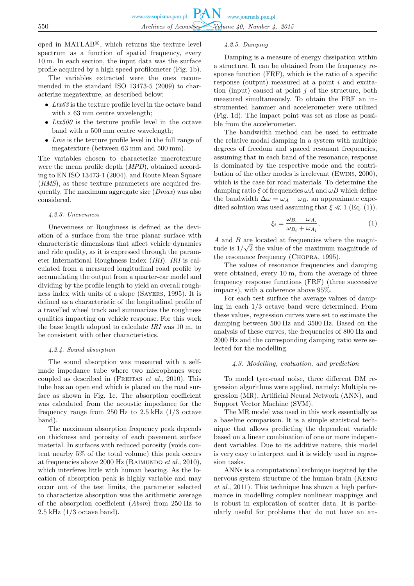oped in  $\text{MATLAB}^{\circledR}$ , which returns the texture level spectrum as a function of spatial frequency, every 10 m. In each section, the input data was the surface profile acquired by a high speed profilometer (Fig. 1b).

The variables extracted were the ones recommended in the standard ISO 13473-5 (2009) to characterize megatexture, as described below:

- *Ltx63* is the texture profile level in the octave band with a 63 mm centre wavelength;
- *Ltx500* is the texture profile level in the octave band with a 500 mm centre wavelength;
- *Lme* is the texture profile level in the full range of megatexture (between 63 mm and 500 mm).

The variables chosen to characterize macrotexture were the mean profile depth (*MPD*), obtained according to EN ISO 13473-1 (2004), and Route Mean Square (*RMS*), as these texture parameters are acquired frequently. The maximum aggregate size (*Dmax*) was also considered.

#### *4.2.3. Unevenness*

Unevenness or Roughness is defined as the deviation of a surface from the true planar surface with characteristic dimensions that affect vehicle dynamics and ride quality, as it is expressed through the parameter International Roughness Index (*IRI*). *IRI* is calculated from a measured longitudinal road profile by accumulating the output from a quarter-car model and dividing by the profile length to yield an overall roughness index with units of a slope (Sayers, 1995). It is defined as a characteristic of the longitudinal profile of a travelled wheel track and summarizes the roughness qualities impacting on vehicle response. For this work the base length adopted to calculate *IRI* was 10 m, to be consistent with other characteristics.

#### *4.2.4. Sound absorption*

The sound absorption was measured with a selfmade impedance tube where two microphones were coupled as described in (Freitas *et al*., 2010). This tube has an open end which is placed on the road surface as shown in Fig. 1c. The absorption coefficient was calculated from the acoustic impedance for the frequency range from  $250$  Hz to  $2.5$  kHz  $(1/3)$  octave band).

The maximum absorption frequency peak depends on thickness and porosity of each pavement surface material. In surfaces with reduced porosity (voids content nearby 5% of the total volume) this peak occurs at frequencies above 2000 Hz (Raimundo *et al*., 2010), which interferes little with human hearing. As the location of absorption peak is highly variable and may occur out of the test limits, the parameter selected to characterize absorption was the arithmetic average of the absorption coefficient (*Absm*) from 250 Hz to  $2.5$  kHz  $(1/3$  octave band).

### *4.2.5. Damping*

Damping is a measure of energy dissipation within a structure. It can be obtained from the frequency response function (FRF), which is the ratio of a specific response (output) measured at a point i and excitation (input) caused at point  $j$  of the structure, both measured simultaneously. To obtain the FRF an instrumented hammer and accelerometer were utilized (Fig. 1d). The impact point was set as close as possible from the accelerometer.

The bandwidth method can be used to estimate the relative modal damping in a system with multiple degrees of freedom and spaced resonant frequencies, assuming that in each band of the resonance, response is dominated by the respective mode and the contribution of the other modes is irrelevant (Ewins, 2000), which is the case for road materials. To determine the damping ratio  $\xi$  of frequencies  $\omega A$  and  $\omega B$  which define the bandwidth  $\Delta \omega = \omega_A - \omega_B$ , an approximate expedited solution was used assuming that  $\xi \ll 1$  (Eq. (1)).

$$
\xi_i = \frac{\omega_{B_i} - \omega_{A_i}}{\omega_{B_i} + \omega_{A_i}},\tag{1}
$$

A and B are located at frequencies where the magnitude is  $1/\sqrt{2}$  the value of the maximum magnitude of the resonance frequency (Chopra, 1995).

The values of resonance frequencies and damping were obtained, every 10 m, from the average of three frequency response functions (FRF) (three successive impacts), with a coherence above 95%.

For each test surface the average values of damping in each 1/3 octave band were determined. From these values, regression curves were set to estimate the damping between 500 Hz and 3500 Hz. Based on the analysis of these curves, the frequencies of 800 Hz and 2000 Hz and the corresponding damping ratio were selected for the modelling.

#### *4.3. Modelling, evaluation, and prediction*

To model tyre-road noise, three different DM regression algorithms were applied, namely: Multiple regression (MR), Artificial Neural Network (ANN), and Support Vector Machine (SVM).

The MR model was used in this work essentially as a baseline comparison. It is a simple statistical technique that allows predicting the dependent variable based on a linear combination of one or more independent variables. Due to its additive nature, this model is very easy to interpret and it is widely used in regression tasks.

ANNs is a computational technique inspired by the nervous system structure of the human brain (Kenig *et al*., 2011). This technique has shown a high performance in modelling complex nonlinear mappings and is robust in exploration of scatter data. It is particularly useful for problems that do not have an an-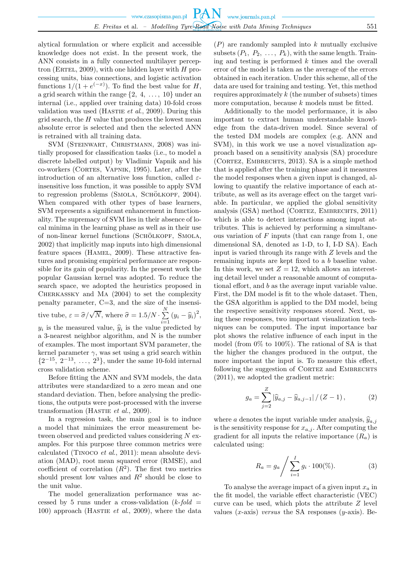alytical formulation or where explicit and accessible knowledge does not exist. In the present work, the ANN consists in a fully connected multilayer perceptron (ERTEL, 2009), with one hidden layer with  $H$  processing units, bias connections, and logistic activation functions  $1/(1+e^{(-x)})$ . To find the best value for H, a grid search within the range  $\{2, 4, \ldots, 10\}$  under an internal (i.e., applied over training data) 10-fold cross validation was used (HASTIE *et al.*, 2009). During this grid search, the  $H$  value that produces the lowest mean absolute error is selected and then the selected ANN is retrained with all training data.

SVM (Steinwart, Christmann, 2008) was initially proposed for classification tasks (i.e., to model a discrete labelled output) by Vladimir Vapnik and his co-workers (Cortes, Vapnik, 1995). Later, after the introduction of an alternative loss function, called  $\varepsilon$ insensitive loss function, it was possible to apply SVM to regression problems (SMOLA, SCHÖLKOPF, 2004). When compared with other types of base learners, SVM represents a significant enhancement in functionality. The supremacy of SVM lies in their absence of local minima in the learning phase as well as in their use of non-linear kernel functions (SCHÖLKOPF, SMOLA, 2002) that implicitly map inputs into high dimensional feature spaces (HAMEL, 2009). These attractive features and promising empirical performance are responsible for its gain of popularity. In the present work the popular Gaussian kernel was adopted. To reduce the search space, we adopted the heuristics proposed in Cherkassky and Ma (2004) to set the complexity penalty parameter, C=3, and the size of the insensitive tube,  $\varepsilon = \hat{\sigma}/\sqrt{N}$ , where  $\hat{\sigma} = 1.5/N \cdot \sum_{i=1}^{N}$  $\sum_{i=1}^{N} (y_i - \widehat{y}_i)^2,$  $y_i$  is the measured value,  $\hat{y}_i$  is the value predicted by a 3-nearest neighbor algorithm, and N is the number of examples. The most important SVM parameter, the kernel parameter  $\gamma$ , was set using a grid search within  $\{2^{-15}, 2^{-13}, \ldots, 2^3\}$ , under the same 10-fold internal cross validation scheme.

Before fitting the ANN and SVM models, the data attributes were standardized to a zero mean and one standard deviation. Then, before analysing the predictions, the outputs were post-processed with the inverse transformation (HASTIE *et al.*, 2009).

In a regression task, the main goal is to induce a model that minimizes the error measurement between observed and predicted values considering N examples. For this purpose three common metrics were calculated (Tinoco *et al*., 2011): mean absolute deviation (MAD), root mean squared error (RMSE), and coefficient of correlation  $(R^2)$ . The first two metrics should present low values and  $R^2$  should be close to the unit value.

The model generalization performance was accessed by 5 runs under a cross-validation  $(k$ -fold = 100) approach (Hastie *et al*., 2009), where the data

 $(P)$  are randomly sampled into k mutually exclusive subsets  $(P_1, P_2, \ldots, P_k)$ , with the same length. Training and testing is performed  $k$  times and the overall error of the model is taken as the average of the errors obtained in each iteration. Under this scheme, all of the data are used for training and testing. Yet, this method requires approximately  $k$  (the number of subsets) times more computation, because  $k$  models must be fitted.

Additionally to the model performance, it is also important to extract human understandable knowledge from the data-driven model. Since several of the tested DM models are complex (e.g. ANN and SVM), in this work we use a novel visualization approach based on a sensitivity analysis (SA) procedure (Cortez, Embrechts, 2013). SA is a simple method that is applied after the training phase and it measures the model responses when a given input is changed, allowing to quantify the relative importance of each attribute, as well as its average effect on the target variable. In particular, we applied the global sensitivity analysis (GSA) method (CORTEZ, EMBRECHTS, 2011) which is able to detect interactions among input attributes. This is achieved by performing a simultaneous variation of  $F$  inputs (that can range from 1, one dimensional SA, denoted as 1-D, to I, I-D SA). Each input is varied through its range with Z levels and the remaining inputs are kept fixed to a b baseline value. In this work, we set  $Z = 12$ , which allows an interesting detail level under a reasonable amount of computational effort, and b as the average input variable value. First, the DM model is fit to the whole dataset. Then, the GSA algorithm is applied to the DM model, being the respective sensitivity responses stored. Next, using these responses, two important visualization techniques can be computed. The input importance bar plot shows the relative influence of each input in the model (from 0% to 100%). The rational of SA is that the higher the changes produced in the output, the more important the input is. To measure this effect, following the suggestion of CORTEZ and EMBRECHTS (2011), we adopted the gradient metric:

$$
g_a = \sum_{j=2}^{Z} |\widehat{y}_{a,j} - \widehat{y}_{a,j-1}| / (Z - 1), \qquad (2)
$$

where a denotes the input variable under analysis,  $\hat{y}_{a,j}$ is the sensitivity response for  $x_{a,j}$ . After computing the gradient for all inputs the relative importance  $(R_a)$  is calculated using:

$$
R_a = g_a / \sum_{i=1}^{I} g_i \cdot 100\%, \qquad (3)
$$

To analyse the average impact of a given input  $x_a$  in the fit model, the variable effect characteristic (VEC) curve can be used, which plots the attribute  $Z$  level values  $(x\text{-axis})$  *versus* the SA responses  $(y\text{-axis})$ . Be-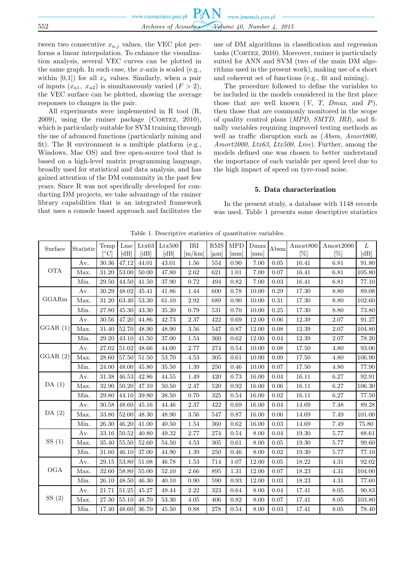tween two consecutive  $x_{a,j}$  values, the VEC plot performs a linear interpolation. To enhance the visualization analysis, several VEC curves can be plotted in the same graph. In such case, the  $x$ -axis is scaled (e.g., within  $[0,1]$  for all  $x_a$  values. Similarly, when a pair of inputs  $(x_{a1}, x_{a2})$  is simultaneously varied  $(F > 2)$ , the VEC surface can be plotted, showing the average responses to changes in the pair.

All experiments were implemented in R tool (R,  $2009$ ), using the rminer package (CORTEZ,  $2010$ ), which is particularly suitable for SVM training through the use of advanced functions (particularly mining and fit). The R environment is a multiple platform (e.g., Windows, Mac OS) and free open-source tool that is based on a high-level matrix programming language, broadly used for statistical and data analysis, and has gained attention of the DM community in the past few years. Since R was not specifically developed for conducting DM projects, we take advantage of the rminer library capabilities that is an integrated framework that uses a console based approach and facilitates the use of DM algorithms in classification and regression tasks (CORTEZ, 2010). Moreover, rminer is particularly suited for ANN and SVM (two of the main DM algorithms used in the present work), making use of a short and coherent set of functions (e.g., fit and mining).

The procedure followed to define the variables to be included in the models considered in the first place those that are well known  $(V, T, Dmax, and P)$ , then those that are commonly monitored in the scope of quality control plans (*MPD*, *SMTD*, *IRI*), and finally variables requiring improved testing methods as well as traffic disruption such as (*Absm*, *Amort800*, *Amort2000*, *Ltx63*, *Ltx500*, *Lme*). Further, among the models defined one was chosen to better understand the importance of each variable per speed level due to the high impact of speed on tyre-road noise.

### 5. Data characterization

In the present study, a database with 1148 records was used. Table 1 presents some descriptive statistics

| Surface                     | Statistic | Temp<br>$\lceil^{\circ}\text{C}\rceil$ | Lme<br>[dB] | Ltx63<br>[dB] | Ltx500<br>[dB] | IRI<br>$\rm{m/km}$ | <b>RMS</b><br>$ \mu m $ | <b>MPD</b><br>$\left[\text{mm}\right]$ | Dmax<br>$\vert$ mm $\vert$ | Absm | Amort <sub>800</sub><br>[%] | Amort2000<br>[%] | L<br>[dB] |
|-----------------------------|-----------|----------------------------------------|-------------|---------------|----------------|--------------------|-------------------------|----------------------------------------|----------------------------|------|-----------------------------|------------------|-----------|
| $\mathop{\rm OTA}\nolimits$ | Av.       | $30.36\,$                              | 47.12       | 44.01         | 43.01          | 1.56               | 554                     | 0.90                                   | 7.00                       | 0.05 | 16.41                       | 6.81             | 91.80     |
|                             | Max.      | 31.20                                  | 53.00       | 50.00         | 47.80          | 2.62               | 621                     | 1.01                                   | 7.00                       | 0.07 | 16.41                       | 6.81             | 105.80    |
|                             | Min.      | 29.50                                  | 44.50       | 41.50         | 37.90          | 0.72               | 494                     | 0.82                                   | 7.00                       | 0.03 | 16.41                       | 6.81             | 77.10     |
| GGARm                       | Av.       | 30.29                                  | 48.02       | $45.41\,$     | 41.86          | 1.44               | 600                     | 0.78                                   | 10.00                      | 0.29 | 17.30                       | 8.80             | 89.08     |
|                             | Max.      | $31.20\,$                              | 63.40       | 53.30         | 61.10          | 2.92               | 689                     | 0.90                                   | 10.00                      | 0.31 | 17.30                       | 8.80             | 102.60    |
|                             | Min.      | 27.80                                  | 45.30       | 43.30         | 35.20          | 0.79               | 531                     | 0.70                                   | 10.00                      | 0.25 | 17.30                       | 8.80             | 73.80     |
|                             | Av.       | 30.56                                  | 47.20       | 44.86         | 42.73          | 2.37               | 422                     | 0.69                                   | 12.00                      | 0.06 | 12.39                       | 2.07             | 91.27     |
| GGAR(1)                     | Max.      | $31.40\,$                              | 52.70       | 48.90         | 48.90          | 3.56               | 547                     | 0.87                                   | 12.00                      | 0.08 | 12.39                       | 2.07             | 104.80    |
|                             | Min.      | 29.20                                  | 43.10       | 41.50         | 37.00          | 1.54               | 360                     | 0.62                                   | 12.00                      | 0.04 | 12.39                       | 2.07             | 78.20     |
| GGAR(2)                     | Av.       | 27.02                                  | 51.02       | 48.66         | 44.00          | 2.77               | 274                     | 0.54                                   | 10.00                      | 0.08 | 17.50                       | 4.80             | 93.06     |
|                             | Max.      | 28.60                                  | 57.50       | 51.50         | 53.70          | 4.53               | 305                     | 0.61                                   | 10.00                      | 0.09 | 17.50                       | 4.80             | 106.90    |
|                             | Min.      | 24.00                                  | 48.00       | 45.80         | 35.50          | 1.39               | $250\,$                 | 0.46                                   | 10.00                      | 0.07 | 17.50                       | 4.80             | 77.90     |
| DA(1)                       | Av.       | 31.38                                  | 46.53       | 42.86         | 44.55          | 1.49               | 420                     | 0.73                                   | 16.00                      | 0.04 | 16.11                       | 6.27             | 92.91     |
|                             | Max.      | 32.90                                  | 50.20       | 47.10         | 50.50          | 2.47               | 520                     | 0.92                                   | 16.00                      | 0.06 | 16.11                       | 6.27             | 106.30    |
|                             | Min.      | 29.80                                  | 44.10       | 39.80         | 38.50          | 0.70               | 325                     | 0.54                                   | 16.00                      | 0.02 | 16.11                       | 6.27             | 77.50     |
|                             | Av.       | 30.58                                  | 48.60       | 45.16         | 44.46          | 2.37               | 422                     | 0.69                                   | 16.00                      | 0.04 | 14.69                       | 7.48             | 89.28     |
| DA $(2)$                    | Max.      | 33.80                                  | 52.00       | 48.30         | 48.90          | 3.56               | 547                     | 0.87                                   | 16.00                      | 0.06 | 14.69                       | 7.49             | 101.00    |
|                             | Min.      | 26.30                                  | 46.20       | 41.00         | 40.50          | 1.54               | 360                     | 0.62                                   | 16.00                      | 0.03 | 14.69                       | 7.49             | 75.80     |
|                             | Av.       | 33.16                                  | 50.52       | 40.80         | 49.32          | 2.77               | 274                     | 0.54                                   | 8.00                       | 0.04 | 19.30                       | 5.77             | 88.61     |
| SS(1)                       | Max.      | 35.40                                  | 55.50       | 52.60         | 54.50          | 4.53               | 305                     | 0.61                                   | 8.00                       | 0.05 | 19.30                       | 5.77             | 99.60     |
|                             | Min.      | 31.60                                  | 46.10       | 37.00         | 44.90          | 1.39               | 250                     | 0.46                                   | 8.00                       | 0.02 | 19.30                       | 5.77             | 77.10     |
| <b>OGA</b>                  | Av.       | 29.15                                  | 53.80       | 51.08         | 46.78          | 1.53               | 714                     | 1.07                                   | 12.00                      | 0.05 | 18.22                       | 4.31             | 92.02     |
|                             | Max.      | 32.60                                  | 58.80       | 55.00         | 52.10          | 2.66               | 895                     | 1.31                                   | 12.00                      | 0.07 | 18.23                       | 4.31             | 104.00    |
|                             | Min.      | 26.10                                  | 48.50       | 46.30         | 40.10          | 0.90               | 590                     | 0.93                                   | 12.00                      | 0.03 | 18.23                       | 4.31             | 77.60     |
| SS(2)                       | Av.       | 21.71                                  | 51.25       | 45.27         | 49.44          | 2.22               | 323                     | 0.64                                   | 8.00                       | 0.04 | 17.41                       | 8.05             | 90.83     |
|                             | Max.      | $27.30\,$                              | 55.10       | 48.70         | $53.30\,$      | 4.05               | 406                     | 0.82                                   | 8.00                       | 0.07 | 17.41                       | 8.05             | 103.80    |
|                             | Min.      | 17.40                                  | 48.60       | 36.70         | 45.50          | 0.88               | 278                     | 0.54                                   | 8.00                       | 0.03 | 17.41                       | 8.05             | 78.40     |

Table 1. Descriptive statistics of quantitative variables.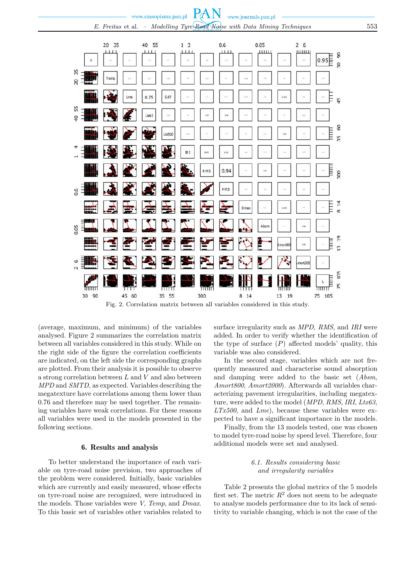

Fig. 2. Correlation matrix between all variables considered in this study.

(average, maximum, and minimum) of the variables analysed. Figure 2 summarizes the correlation matrix between all variables considered in this study. While on the right side of the figure the correlation coefficients are indicated, on the left side the corresponding graphs are plotted. From their analysis it is possible to observe a strong correlation between L and V and also between *MPD* and *SMTD*, as expected. Variables describing the megatexture have correlations among them lower than 0.76 and therefore may be used together. The remaining variables have weak correlations. For these reasons all variables were used in the models presented in the following sections.

#### 6. Results and analysis

To better understand the importance of each variable on tyre-road noise prevision, two approaches of the problem were considered. Initially, basic variables which are currently and easily measured, whose effects on tyre-road noise are recognized, were introduced in the models. Those variables were *V*, *Temp*, and *Dmax*. To this basic set of variables other variables related to surface irregularity such as *MPD*, *RMS*, and *IRI* were added. In order to verify whether the identification of the type of surface  $(P)$  affected models' quality, this variable was also considered.

In the second stage, variables which are not frequently measured and characterise sound absorption and damping were added to the basic set (*Absm*, *Amort800*, *Amort2000*). Afterwards all variables characterizing pavement irregularities, including megatexture, were added to the model (*MPD*, *RMS*, *IRI*, *Ltx63*, *LTx500*, and *Lme*), because these variables were expected to have a significant importance in the models.

Finally, from the 13 models tested, one was chosen to model tyre-road noise by speed level. Therefore, four additional models were set and analysed.

### *6.1. Results considering basic and irregularity variables*

Table 2 presents the global metrics of the 5 models first set. The metric  $R^2$  does not seem to be adequate to analyse models performance due to its lack of sensitivity to variable changing, which is not the case of the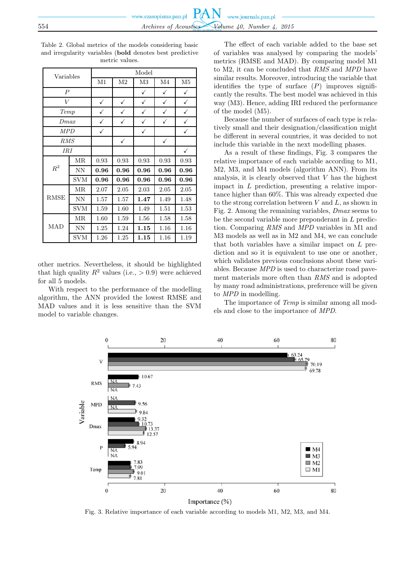Table 2. Global metrics of the models considering basic and irregularity variables (**bold** denotes best predictive metric values.

| Variables        |            | Model        |                |              |                |                |  |  |  |
|------------------|------------|--------------|----------------|--------------|----------------|----------------|--|--|--|
|                  |            | M1           | M <sub>2</sub> | M3           | M <sub>4</sub> | M <sub>5</sub> |  |  |  |
| $\boldsymbol{P}$ |            |              |                | ✓            | ✓              | ✓              |  |  |  |
| $\bar{V}$        |            | ✓            | ✓              | $\checkmark$ | $\checkmark$   | ✓              |  |  |  |
| Temp             |            | $\checkmark$ | ✓              | $\checkmark$ |                | ✓              |  |  |  |
| Dmax             |            | ✓            | ✓              | ✓            | ✓              | ✓              |  |  |  |
| MPD              |            | $\checkmark$ |                | ✓            |                | ✓              |  |  |  |
| RMS              |            |              | $\checkmark$   |              | $\checkmark$   |                |  |  |  |
| <b>IRI</b>       |            |              |                |              |                | ✓              |  |  |  |
|                  | MR.        | 0.93         | 0.93           | 0.93         | 0.93           | 0.93           |  |  |  |
| $\,R^2$          | <b>NN</b>  | 0.96         | 0.96           | 0.96         | 0.96           | 0.96           |  |  |  |
|                  | <b>SVM</b> | 0.96         | 0.96           | 0.96         | 0.96           | 0.96           |  |  |  |
|                  | MR.        | 2.07         | 2.05           | 2.03         | 2.05           | 2.05           |  |  |  |
| <b>RMSE</b>      | <b>NN</b>  | 1.57         | 1.57           | 1.47         | 1.49           | 1.48           |  |  |  |
|                  | <b>SVM</b> | 1.59         | 1.60           | 1.49         | 1.51           | 1.53           |  |  |  |
| MAD              | MR.        | 1.60         | 1.59           | 1.56         | 1.58           | 1.58           |  |  |  |
|                  | <b>NN</b>  | 1.25         | 1.24           | 1.15         | 1.16           | 1.16           |  |  |  |
|                  | <b>SVM</b> | 1.26         | 1.25           | 1.15         | 1.16           | 1.19           |  |  |  |

other metrics. Nevertheless, it should be highlighted that high quality  $R^2$  values (i.e.,  $> 0.9$ ) were achieved for all 5 models.

With respect to the performance of the modelling algorithm, the ANN provided the lowest RMSE and MAD values and it is less sensitive than the SVM model to variable changes.

The effect of each variable added to the base set of variables was analysed by comparing the models' metrics (RMSE and MAD). By comparing model M1 to M2, it can be concluded that *RMS* and *MPD* have similar results. Moreover, introducing the variable that identifies the type of surface  $(P)$  improves significantly the results. The best model was achieved in this way (M3). Hence, adding IRI reduced the performance of the model (M5).

Because the number of surfaces of each type is relatively small and their designation/classification might be different in several countries, it was decided to not include this variable in the next modelling phases.

As a result of these findings, Fig. 3 compares the relative importance of each variable according to M1, M2, M3, and M4 models (algorithm ANN). From its analysis, it is clearly observed that  $V$  has the highest impact in L prediction, presenting a relative importance higher than 60%. This was already expected due to the strong correlation between  $V$  and  $L$ , as shown in Fig. 2. Among the remaining variables, *Dmax* seems to be the second variable more preponderant in L prediction. Comparing *RMS* and *MPD* variables in M1 and M3 models as well as in M2 and M4, we can conclude that both variables have a similar impact on L prediction and so it is equivalent to use one or another, which validates previous conclusions about these variables. Because *MPD* is used to characterize road pavement materials more often than *RMS* and is adopted by many road administrations, preference will be given to *MPD* in modelling.

The importance of *Temp* is similar among all models and close to the importance of *MPD*.



Fig. 3. Relative importance of each variable according to models M1, M2, M3, and M4.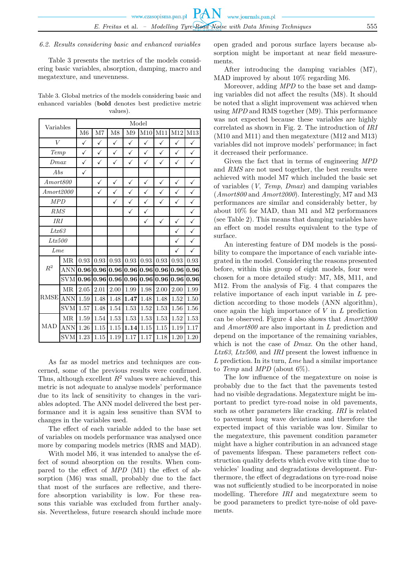#### *6.2. Results considering basic and enhanced variables*

Table 3 presents the metrics of the models considering basic variables, absorption, damping, macro and megatexture, and unevenness.

Table 3. Global metrics of the models considering basic and enhanced variables (**bold** denotes best predictive metric values).

| Variables                 |            | Model        |              |              |              |              |              |              |              |  |  |
|---------------------------|------------|--------------|--------------|--------------|--------------|--------------|--------------|--------------|--------------|--|--|
|                           |            |              | M7           | M8           | M9           | M10          | M11          | $\rm M12$    | M13          |  |  |
| $\overline{V}$            |            | $\checkmark$ | $\checkmark$ | $\checkmark$ | $\checkmark$ | $\checkmark$ | $\checkmark$ | $\checkmark$ | $\checkmark$ |  |  |
| Temp                      |            | ✓            | $\checkmark$ | $\checkmark$ | $\checkmark$ | $\checkmark$ | $\checkmark$ | $\checkmark$ | $\checkmark$ |  |  |
| Dmax                      |            | ✓            | $\checkmark$ | ✓            | $\checkmark$ | ✓            | $\checkmark$ | $\checkmark$ | ✓            |  |  |
| Abs                       |            | $\checkmark$ |              |              |              |              |              |              |              |  |  |
| Amort 800                 |            |              | $\checkmark$ | ✓            | $\checkmark$ | $\checkmark$ | $\checkmark$ | $\checkmark$ | $\checkmark$ |  |  |
| Amort 2000                |            |              | ✓            | $\checkmark$ | $\checkmark$ | $\checkmark$ | $\checkmark$ | $\checkmark$ | $\checkmark$ |  |  |
|                           | <b>MPD</b> |              |              | ✓            | $\checkmark$ | $\checkmark$ | ✓            | $\checkmark$ | $\checkmark$ |  |  |
| RMS                       |            |              |              |              | $\checkmark$ | $\checkmark$ |              |              | $\checkmark$ |  |  |
| <b>IRI</b>                |            |              |              |              |              | $\checkmark$ | $\checkmark$ | $\checkmark$ | $\checkmark$ |  |  |
| Ltx63                     |            |              |              |              |              |              |              | $\checkmark$ | $\checkmark$ |  |  |
| Ltx500                    |            |              |              |              |              |              |              | $\checkmark$ | $\checkmark$ |  |  |
|                           | Lme        |              |              |              |              |              |              | $\checkmark$ | $\checkmark$ |  |  |
|                           | MR         | 0.93         | 0.93         | 0.93         | 0.93         | 0.93         | 0.93         | 0.93         | 0.93         |  |  |
| $R^2$                     | <b>ANN</b> | 0.96         | 0.96         | 0.96         | 0.96         | 0.96         | 0.96         | 0.96         | 0.96         |  |  |
|                           | <b>SVM</b> | 0.96         | 0.96         | 0.96         | 0.96         | 0.96         | 0.96         | 0.96         | 0.96         |  |  |
|                           | MR         | 2.05         | 2.01         | 2.00         | 1.99         | 1.98         | 2.00         | 2.00         | 1.99         |  |  |
| <b>RMSE</b><br><b>MAD</b> | <b>ANN</b> | $1.59\,$     | 1.48         | 1.48         | 1.47         | 1.48         | 1.48         | 1.52         | 1.50         |  |  |
|                           | <b>SVM</b> | 1.57         | 1.48         | 1.54         | 1.53         | 1.52         | 1.53         | 1.56         | 1.56         |  |  |
|                           | MR         | 1.59         | 1.54         | 1.53         | 1.53         | 1.53         | 1.53         | 1.52         | 1.53         |  |  |
|                           | <b>ANN</b> | 1.26         | 1.15         | 1.15         | 1.14         | 1.15         | 1.15         | 1.19         | 1.17         |  |  |
|                           | <b>SVM</b> | 1.23         | 1.15         | 1.19         | 1.17         | 1.17         | 1.18         | 1.20         | 1.20         |  |  |

As far as model metrics and techniques are concerned, some of the previous results were confirmed. Thus, although excellent  $R^2$  values were achieved, this metric is not adequate to analyse models' performance due to its lack of sensitivity to changes in the variables adopted. The ANN model delivered the best performance and it is again less sensitive than SVM to changes in the variables used.

The effect of each variable added to the base set of variables on models performance was analysed once more by comparing models metrics (RMS and MAD).

With model M6, it was intended to analyse the effect of sound absorption on the results. When compared to the effect of *MPD* (M1) the effect of absorption (M6) was small, probably due to the fact that most of the surfaces are reflective, and therefore absorption variability is low. For these reasons this variable was excluded from further analysis. Nevertheless, future research should include more

open graded and porous surface layers because absorption might be important at near field measurements.

After introducing the damping variables (M7), MAD improved by about 10% regarding M6.

Moreover, adding *MPD* to the base set and damping variables did not affect the results (M8). It should be noted that a slight improvement was achieved when using *MPD* and RMS together (M9). This performance was not expected because these variables are highly correlated as shown in Fig. 2. The introduction of *IRI* (M10 and M11) and then megatexture (M12 and M13) variables did not improve models' performance; in fact it decreased their performance.

Given the fact that in terms of engineering *MPD* and *RMS* are not used together, the best results were achieved with model M7 which included the basic set of variables (*V*, *Temp*, *Dmax*) and damping variables (*Amort800* and *Amort2000*). Interestingly, M7 and M3 performances are similar and considerably better, by about 10% for MAD, than M1 and M2 performances (see Table 2). This means that damping variables have an effect on model results equivalent to the type of surface.

An interesting feature of DM models is the possibility to compare the importance of each variable integrated in the model. Considering the reasons presented before, within this group of eight models, four were chosen for a more detailed study: M7, M8, M11, and M12. From the analysis of Fig. 4 that compares the relative importance of each input variable in L prediction according to those models (ANN algorithm), once again the high importance of  $V$  in  $L$  prediction can be observed. Figure 4 also shows that *Amort2000* and *Amort800* are also important in L prediction and depend on the importance of the remaining variables, which is not the case of *Dmax*. On the other hand, *Ltx63*, *Ltx500*, and *IRI* present the lowest influence in L prediction. In its turn, *Lme* had a similar importance to *Temp* and *MPD* (about 6%).

The low influence of the megatexture on noise is probably due to the fact that the pavements tested had no visible degradations. Megatexture might be important to predict tyre-road noise in old pavements, such as other parameters like cracking. *IRI* is related to pavement long wave deviations and therefore the expected impact of this variable was low. Similar to the megatexture, this pavement condition parameter might have a higher contribution in an advanced stage of pavements lifespan. These parameters reflect construction quality defects which evolve with time due to vehicles' loading and degradations development. Furthermore, the effect of degradations on tyre-road noise was not sufficiently studied to be incorporated in noise modelling. Therefore *IRI* and megatexture seem to be good parameters to predict tyre-noise of old pavements.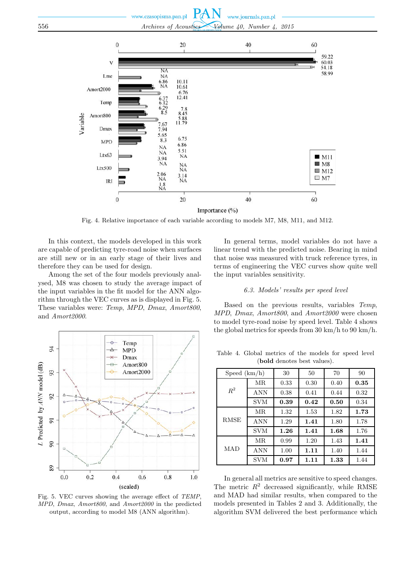#### **PAN** www.czasopisma.pan.pl www.journals.pan.pl 556 *Archives of Acoustics – Volume 40, Number 4, 2015*



Fig. 4. Relative importance of each variable according to models M7, M8, M11, and M12.

In this context, the models developed in this work are capable of predicting tyre-road noise when surfaces are still new or in an early stage of their lives and therefore they can be used for design.

Among the set of the four models previously analysed, M8 was chosen to study the average impact of the input variables in the fit model for the ANN algorithm through the VEC curves as is displayed in Fig. 5. These variables were: *Temp*, *MPD*, *Dmax*, *Amort800*, and *Amort2000*.



Fig. 5. VEC curves showing the average effect of *TEMP*, *MPD*, *Dmax*, *Amort800*, and *Amort2000* in the predicted output, according to model M8 (ANN algorithm).

In general terms, model variables do not have a linear trend with the predicted noise. Bearing in mind that noise was measured with truck reference tyres, in terms of engineering the VEC curves show quite well the input variables sensitivity.

#### *6.3. Models' results per speed level*

Based on the previous results, variables *Temp*, *MPD*, *Dmax*, *Amort800*, and *Amort2000* were chosen to model tyre-road noise by speed level. Table 4 shows the global metrics for speeds from 30 km/h to 90 km/h.

Table 4. Global metrics of the models for speed level (**bold** denotes best values).

| Speed(km/h) |            | 30   | 50   | 70   | 90   |
|-------------|------------|------|------|------|------|
|             | МR         | 0.33 | 0.30 | 0.40 | 0.35 |
| $R^2$       | <b>ANN</b> | 0.38 | 0.41 | 0.44 | 0.32 |
|             | <b>SVM</b> | 0.39 | 0.42 | 0.50 | 0.34 |
|             | MR.        | 1.32 | 1.53 | 1.82 | 1.73 |
| <b>RMSE</b> | <b>ANN</b> | 1.29 | 1.41 | 1.80 | 1.78 |
|             | <b>SVM</b> | 1.26 | 1.41 | 1.68 | 1.76 |
|             | MR.        | 0.99 | 1.20 | 1.43 | 1.41 |
| MAD         | <b>ANN</b> | 1.00 | 1.11 | 1.40 | 1.44 |
|             | <b>SVM</b> | 0.97 | 1.11 | 1.33 | 1.44 |

In general all metrics are sensitive to speed changes. The metric  $R^2$  decreased significantly, while RMSE and MAD had similar results, when compared to the models presented in Tables 2 and 3. Additionally, the algorithm SVM delivered the best performance which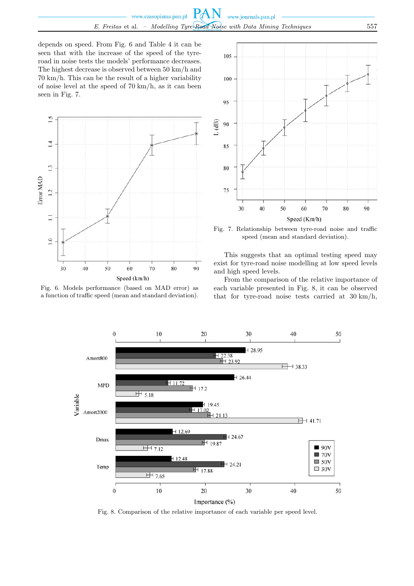depends on speed. From Fig. 6 and Table 4 it can be seen that with the increase of the speed of the tyreroad in noise tests the models' performance decreases. The highest decrease is observed between 50 km/h and 70 km/h. This can be the result of a higher variability of noise level at the speed of 70 km/h, as it can been seen in Fig. 7.



Fig. 6. Models performance (based on MAD error) as a function of traffic speed (mean and standard deviation).



Fig. 7. Relationship between tyre-road noise and traffic speed (mean and standard deviation).

This suggests that an optimal testing speed may exist for tyre-road noise modelling at low speed levels and high speed levels.

From the comparison of the relative importance of each variable presented in Fig. 8, it can be observed that for tyre-road noise tests carried at 30 km/h,



Fig. 8. Comparison of the relative importance of each variable per speed level.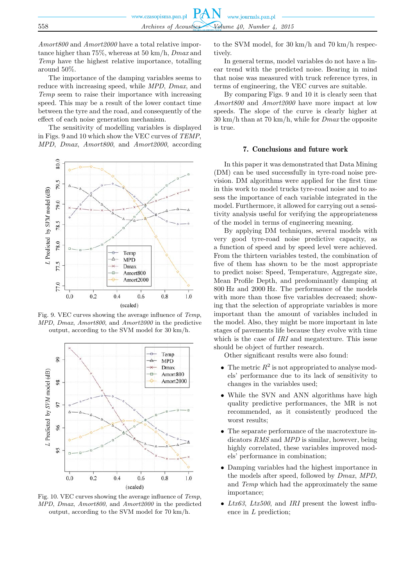*Amort800* and *Amort2000* have a total relative importance higher than 75%, whereas at 50 km/h, *Dmax* and *Temp* have the highest relative importance, totalling around 50%.

The importance of the damping variables seems to reduce with increasing speed, while *MPD*, *Dmax*, and *Temp* seem to raise their importance with increasing speed. This may be a result of the lower contact time between the tyre and the road, and consequently of the effect of each noise generation mechanism.

The sensitivity of modelling variables is displayed in Figs. 9 and 10 which show the VEC curves of *TEMP*, *MPD*, *Dmax*, *Amort800*, and *Amort2000*, according



Fig. 9. VEC curves showing the average influence of *Temp*, *MPD*, *Dmax*, *Amort800*, and *Amort2000* in the predictive output, according to the SVM model for 30 km/h.



Fig. 10. VEC curves showing the average influence of *Temp*, *MPD*, *Dmax*, *Amort800*, and *Amort2000* in the predicted output, according to the SVM model for 70 km/h.

to the SVM model, for 30 km/h and 70 km/h respectively.

In general terms, model variables do not have a linear trend with the predicted noise. Bearing in mind that noise was measured with truck reference tyres, in terms of engineering, the VEC curves are suitable.

By comparing Figs. 9 and 10 it is clearly seen that *Amort800* and *Amort2000* have more impact at low speeds. The slope of the curve is clearly higher at 30 km/h than at 70 km/h, while for *Dmax* the opposite is true.

#### 7. Conclusions and future work

In this paper it was demonstrated that Data Mining (DM) can be used successfully in tyre-road noise prevision. DM algorithms were applied for the first time in this work to model trucks tyre-road noise and to assess the importance of each variable integrated in the model. Furthermore, it allowed for carrying out a sensitivity analysis useful for verifying the appropriateness of the model in terms of engineering meaning.

By applying DM techniques, several models with very good tyre-road noise predictive capacity, as a function of speed and by speed level were achieved. From the thirteen variables tested, the combination of five of them has shown to be the most appropriate to predict noise: Speed, Temperature, Aggregate size, Mean Profile Depth, and predominantly damping at 800 Hz and 2000 Hz. The performance of the models with more than those five variables decreased; showing that the selection of appropriate variables is more important than the amount of variables included in the model. Also, they might be more important in late stages of pavements life because they evolve with time which is the case of *IRI* and megatexture. This issue should be object of further research.

Other significant results were also found:

- The metric  $R^2$  is not appropriated to analyse models' performance due to its lack of sensitivity to changes in the variables used;
- While the SVN and ANN algorithms have high quality predictive performances, the MR is not recommended, as it consistently produced the worst results;
- The separate performance of the macrotexture indicators *RMS* and *MPD* is similar, however, being highly correlated, these variables improved models' performance in combination;
- Damping variables had the highest importance in the models after speed, followed by *Dmax*, *MPD*, and *Temp* which had the approximately the same importance;
- *Ltx63*, *Ltx500*, and *IRI* present the lowest influence in L prediction;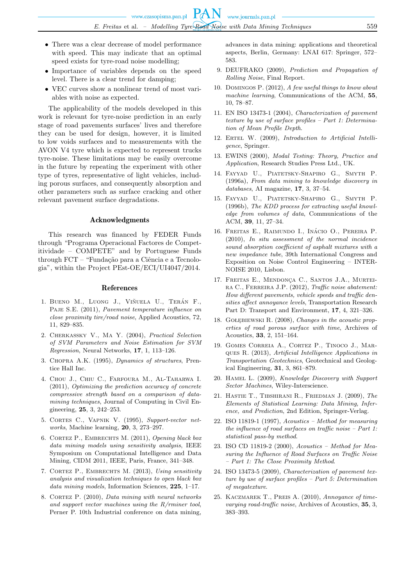- There was a clear decrease of model performance with speed. This may indicate that an optimal speed exists for tyre-road noise modelling;
- Importance of variables depends on the speed level. There is a clear trend for damping;
- VEC curves show a nonlinear trend of most variables with noise as expected.

The applicability of the models developed in this work is relevant for tyre-noise prediction in an early stage of road pavements surfaces' lives and therefore they can be used for design, however, it is limited to low voids surfaces and to measurements with the AVON V4 tyre which is expected to represent trucks tyre-noise. These limitations may be easily overcome in the future by repeating the experiment with other type of tyres, representative of light vehicles, including porous surfaces, and consequently absorption and other parameters such as surface cracking and other relevant pavement surface degradations.

#### Acknowledgments

This research was financed by FEDER Funds through "Programa Operacional Factores de Competitividade – COMPETE" and by Portuguese Funds through FCT – "Fundação para a Ciência e a Tecnologia", within the Project PEst-OE/ECI/UI4047/2014.

#### References

- 1. BUENO M., LUONG J., VIÑUELA U., TERÁN F., Paje S.E. (2011), *Pavement temperature influence on close proximity tire/road noise*, Applied Acoustics, 72, 11, 829–835.
- 2. Cherkassky V., Ma Y. (2004), *Practical Selection of SVM Parameters and Noise Estimation for SVM Regression*, Neural Networks, **17**, 1, 113–126.
- 3. Chopra A.K. (1995), *Dynamics of structures*, Prentice Hall Inc.
- 4. Chou J., Chiu C., Farfoura M., Al-Taharwa I. (2011), *Optimizing the prediction accuracy of concrete compressive strength based on a comparison of datamining techniques*, Journal of Computing in Civil Engineering, **25**, 3, 242–253.
- 5. Cortes C., Vapnik V. (1995), *Support-vector networks*, Machine learning, **20**, 3, 273–297.
- 6. Cortez P., Embrechts M. (2011), *Opening black box data mining models using sensitivity analysis*, IEEE Symposium on Computational Intelligence and Data Mining, CIDM 2011, IEEE, Paris, France, 341–348.
- 7. Cortez P., Embrechts M. (2013), *Using sensitivity analysis and visualization techniques to open black box data mining models*, Information Sciences, **225**, 1–17.
- 8. Cortez P. (2010), *Data mining with neural networks and support vector machines using the R/rminer tool*, Perner P. 10th Industrial conference on data mining,

advances in data mining: applications and theoretical aspects, Berlin, Germany: LNAI 617: Springer, 572– 583.

- 9. DEUFRAKO (2009), *Prediction and Propagation of Rolling Noise*, Final Report.
- 10. Domingos P. (2012), *A few useful things to know about machine learning*, Communications of the ACM, **55**, 10, 78–87.
- 11. EN ISO 13473-1 (2004), *Characterization of pavement texture by use of surface profiles – Part 1: Determination of Mean Profile Depth*.
- 12. Ertel W. (2009), *Introduction to Artificial Intelligence*, Springer.
- 13. EWINS (2000), *Modal Testing: Theory, Practice and Application*, Research Studies Press Ltd., UK.
- 14. Fayyad U., Piatetsky-Shapiro G., Smyth P. (1996a), *From data mining to knowledge discovery in databases*, AI magazine, **17**, 3, 37–54.
- 15. Fayyad U., Piatetsky-Shapiro G., Smyth P. (1996b), *The KDD process for extracting useful knowledge from volumes of data*, Communications of the ACM, **39**, 11, 27–34.
- 16. FREITAS E., RAIMUNDO I., INÁCIO O., PEREIRA P. (2010), *In situ assessment of the normal incidence sound absorption coefficient of asphalt mixtures with a new impedance tube*, 39th International Congress and Exposition on Noise Control Engineering – INTER-NOISE 2010, Lisbon.
- 17. FREITAS E., MENDONCA C., SANTOS J.A., MURTEIra C., Ferreira J.P. (2012), *Traffic noise abatement: How different pavements, vehicle speeds and traffic densities affect annoyance levels*, Transportation Research Part D: Transport and Environment, **17**, 4, 321–326.
- 18. Gołębiewski R. (2008), *Changes in the acoustic properties of road porous surface with time*, Archives of Acoustics, **33**, 2, 151–164.
- 19. Gomes Correia A., Cortez P., Tinoco J., Marques R. (2013), *Artificial Intelligence Applications in Transportation Geotechnics*, Geotechnical and Geological Engineering, **31**, 3, 861–879.
- 20. Hamel L. (2009), *Knowledge Discovery with Support Sector Machines*, Wiley-Interscience.
- 21. Hastie T., Tibshirani R., Friedman J. (2009), *The Elements of Statistical Learning: Data Mining, Inference, and Prediction*, 2nd Edition, Springer-Verlag.
- 22. ISO 11819-1 (1997), *Acoustics Method for measuring the influence of road surfaces on traffic noise – Part 1: statistical pass-by method*.
- 23. ISO CD 11819-2 (2000), *Acoustics Method for Measuring the Influence of Road Surfaces on Traffic Noise – Part 1: The Close Proximity Method*.
- 24. ISO 13473-5 (2009), *Characterization of pavement texture by use of surface profiles – Part 5: Determination of megatexture*.
- 25. Kaczmarek T., Preis A. (2010), *Annoyance of timevarying road-traffic noise*, Archives of Acoustics, **35**, 3, 383–393.